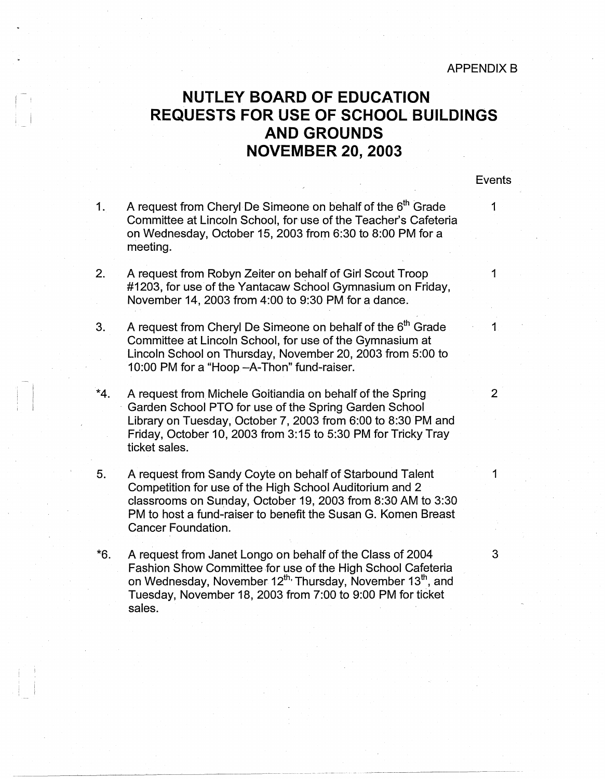## **NUTLEY BOARD OF EDUCATION REQUESTS FOR USE OF SCHOOL BUILDINGS AND GROUNDS NOVEMBER 20, 2003**

Events

1. A request from Cheryl De Simeone on behalf of the  $6<sup>th</sup>$  Grade 1 Committee at Lincoln School, for use of the Teacher's Cafeteria on Wednesday, October 15, 2003 from 6:30 to 8:00 PM for a meeting.

 $\mathbf{I}$ 

 $\mathbf{I}$ 

! I

- 2. A request from Robyn Zeiter on behalf of Girl Scout Troop 1 #1203, for use of the Yantacaw School Gymnasium on Friday, November 14, 2003 from 4:00 to 9:30 PM for a dance.
- 3. A request from Cheryl De Simeone on behalf of the  $6<sup>th</sup>$  Grade 1 Committee at Lincoln School, for use of the Gymnasium at Lincoln School on Thursday, November 20, 2003 from 5:00 to 10:00 PM for a "Hoop - A-Thon" fund-raiser.
- \*4. A request from Michele Goitiandia on behalf of the Spring Garden School PTO for use of the Spring Garden School Library on Tuesday, October 7, 2003 from 6:00 to 8:30 PM and Friday, October 10, 2003 from 3:15 to 5:30 PM for Tricky Tray ticket sales.
- 5. A request from Sandy Coyte on behalf of Starbound Talent 1 Competition for use of the High School Auditorium and 2 classrooms on Sunday, October 19, 2003 from 8:30 AM to 3:30 PM to host a fund-raiser to benefit the Susan G. Komen Breast Cancer Foundation.
- \*6. A request from Janet Longo on behalf of the Class of 2004 3 Fashion Show Committee for use of the High School Cafeteria on Wednesday, November  $12^{th}$  Thursday, November  $13^{th}$ , and Tuesday, November 18, 2003 from 7:00 to 9:00 PM for ticket sales.

2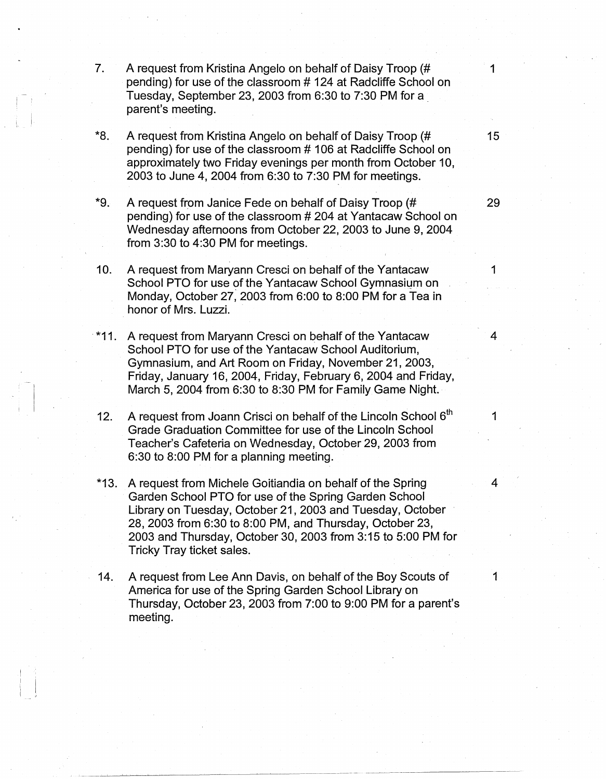- 7. A request from Kristina Angelo on behalf of Daisy Troop (# 1 pending) for use of the classroom # 124 at Radcliffe School on Tuesday, September 23, 2003 from 6:30 to 7:30 PM for a . parent's meeting.
- \*8. A request from Kristina Angelo on behalf of Daisy Troop (# 15 pending) for use of the classroom # 106 at Radcliffe School on approximately two Friday evenings per month from October 10, 2003 to June 4, 2004 from 6:30 to 7:30 PM for meetings.
- \*9. A request from Janice Fede on behalf of Daisy Troop (# 29 pending) for use of the classroom # 204 at Yantacaw School on Wednesday afternoons from October 22, 2003 to June 9, 2004 from 3:30 to 4:30 PM for meetings.
- 10. A request from Maryann Cresci on behalf of the Yantacaw 1 School PTO for use of the Yantacaw School Gymnasium on Monday, October 27, 2003 from 6:00 to 8:00 PM for a Tea in honor of Mrs. Luzzi.
- · \*11. A request from Maryann Cresci on behalf of the Yantacaw 4 School PTO for use of the Yantacaw School Auditorium, Gymnasium, and Art Room on Friday, November 21, 2003, Friday, January 16, 2004, Friday, February 6, 2004 and Friday, March 5, 2004 from 6:30 to 8:30 PM for Family Game Night.
- 12. A request from Joann Crisci on behalf of the Lincoln School  $6<sup>th</sup>$  1 Grade Graduation Committee for use of the Lincoln School Teacher's Cafeteria on Wednesday, October 29, 2003 from 6:30 to 8:00 PM for a planning meeting.
- \*13. A request from Michele Goitiandia on behalf of the Spring 4 Garden School PTO for use of the Spring Garden School Library on Tuesday, October 21, 2003 and Tuesday, October 28, 2003 from 6:30 to 8:00 PM, and Thursday, October 23, 2003 and Thursday, October 30, 2003 from 3:15 to 5:00 PM for Tricky Tray ticket sales.
- 14. A request from Lee Ann Davis, on behalf of the Boy Scouts of 1 America for use of the Spring Garden School Library on Thursday, October 23, 2003 from 7:00 to 9:00 PM for a parent's meeting.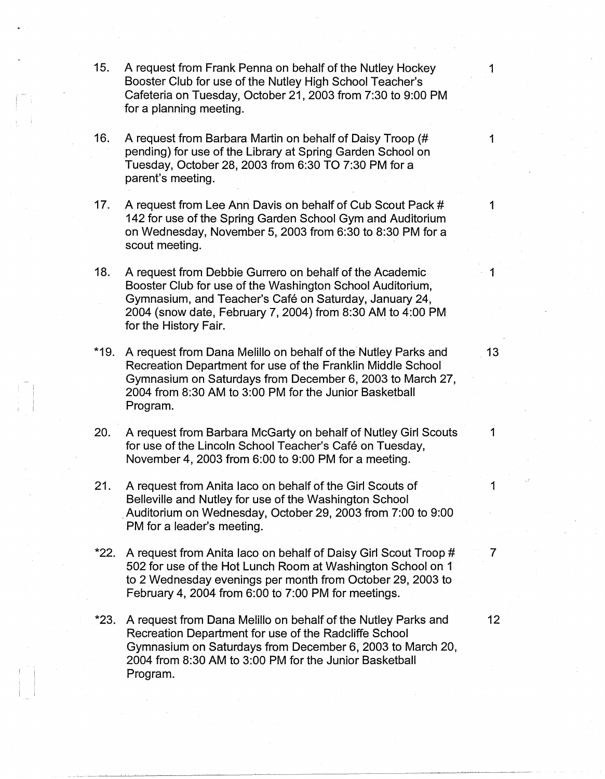15. A request from Frank Penna on behalf of the Nutley Hockey 1 Booster Club for use of the Nutley High School Teacher's Cafeteria on Tuesday, October 21, 2003 from 7:30 to 9:00 PM for a planning meeting.

! '

' <sup>i</sup>

- 16. A request from Barbara Martin on behalf of Daisy Troop (# 1 pending) for use of the Library at Spring Garden School on Tuesday, October 28, 2003 from 6:30 TO 7:30 PM for a parent's meeting.
- 17. A request from Lee Ann Davis on behalf of Cub Scout Pack # 1 142 for use of the Spring Garden School Gym and Auditorium on Wednesday, November 5, 2003 from 6:30 to 8:30 PM for a scout meeting.
- 18. A request from Debbie Gurrero on behalf of the Academic Booster Club for use of the Washington School Auditorium, Gymnasium, and Teacher's Cafe on Saturday, January 24, 2004 (snow date, February 7, 2004) from 8:30 AM to 4:00 PM for the History Fair.
- \*19. A request from Dana Melillo on behalf of the Nutley Parks and 13 Recreation Department for use of the Franklin Middle School Gymnasium on Saturdays from December 6, 2003 to March 27, 2004 from 8:30 AM to 3:00 PM for the Junior Basketball Program.
- 20. A request from Barbara McGarty on behalf of Nutley Girl Scouts 1 for use of the Lincoln School Teacher's Café on Tuesday, November 4, 2003 from 6:00 to 9:00 PM for a meeting.
- 21. A request from Anita laco on behalf of the Girl Scouts of 1 Belleville and Nutley for use of the Washington School . Auditorium on Wednesday, October 29, 2003 from 7:00 to 9:00 PM for a leader's meeting.
- \*22. A request from Anita laco on behalf of Daisy Girl Scout Troop # 7 502 for use of the Hot Lunch Room at Washington School on 1 to 2 Wednesday evenings per month from October 29, 2003 to February 4, 2004 from 6:00 to 7:00 PM for meetings.
- \*23. A request from Dana Melillo on behalf of the Nutley Parks and 12 Recreation Department for use of the Radcliffe School Gymnasium on Saturdays from December 6, 2003 to March 20, 2004 from 8:30 AM to 3:00 PM for the Junior Basketball Program.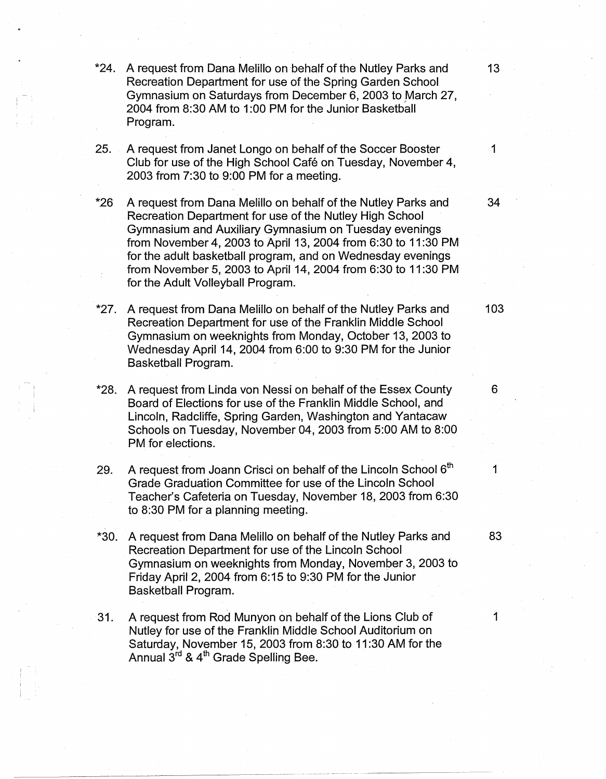- \*24. A request from Dana Melillo on behalf of the Nutley Parks and 13 Recreation Department for use of the Spring Garden School Gymnasium on Saturdays from December 6, 2003 to March 27, 2004 from 8:30 AM to 1:00 PM for the Junior Basketball Program.
- 25. A request from Janet Longo on behalf of the Soccer Booster 1 Club for use of the High School Cafe on Tuesday, November 4, 2003 from 7:30 to 9:00 PM for a meeting.
- \*26 A request from Dana Melillo on behalf of the Nutley Parks and 34 Recreation Department for use of the Nutley High School Gymnasium and Auxiliary Gymnasium on Tuesday evenings from November 4, 2003 to April 13, 2004 from 6:30 to 11 :30 PM for the adult basketball program, and on Wednesday evenings from November 5, 2003 to April 14, 2004 from 6:30 to 11 :30 PM for the Adult Volleyball Program.
- \*27. A request from Dana Melillo on behalf of the Nutley Parks and 103 Recreation Department for use of the Franklin Middle School Gymnasium on weeknights from Monday, October 13, 2003 to Wednesday April 14, 2004 from 6:00 to 9:30 PM for the Junior Basketball Program.
- \*28. A request from Linda von Nessi on behalf of the Essex County 6 Board of Elections for use of the Franklin Middle School, and Lincoln, Radcliffe, Spring Garden, Washington and Yantacaw Schools on Tuesday, November 04, 2003 from 5:00 AM to 8:00 PM for elections.
- 29. A request from Joann Crisci on behalf of the Lincoln School  $6<sup>th</sup>$  1 Grade Graduation Committee for use of the Lincoln School Teacher's Cafeteria on Tuesday, November 18, 2003 from 6:30 to 8:30 PM for a planning meeting.
- \*30. A request from Dana Melillo on behalf of the Nutley Parks and 83 Recreation Department for use of the Lincoln School Gymnasium on weeknights from Monday, November 3, 2003 to Friday April 2, 2004 from 6: 15 to 9:30 PM for the Junior Basketball Program.
- 31. A request from Rod Munyon on behalf of the Lions Club of 1 Nutley for use of the Franklin Middle School Auditorium on Saturday, November 15, 2003 from 8:30 to 11 :30 AM for the Annual 3<sup>rd</sup> & 4<sup>th</sup> Grade Spelling Bee.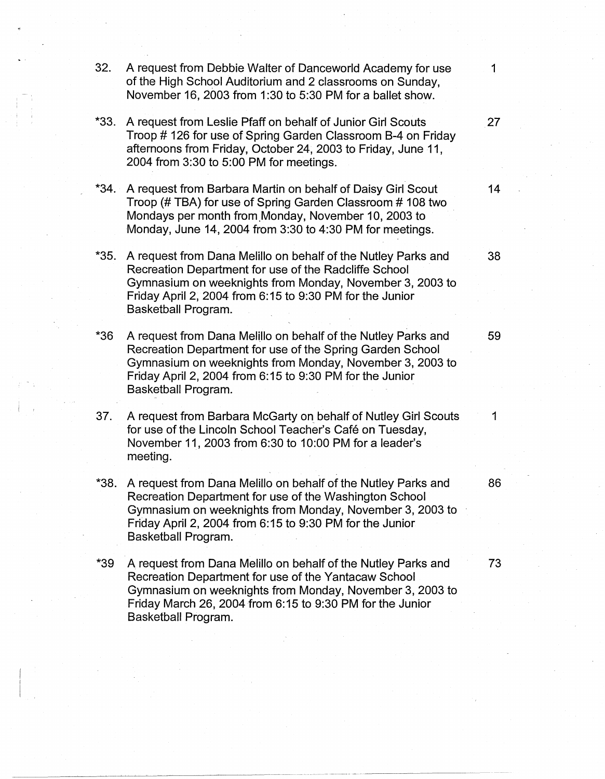**32.** A request from Debbie Walter of Danceworld Academy for use 1 of the High School Auditorium and 2 classrooms on Sunday, November 16, 2003 from 1:30 to 5:30 PM for a ballet show. i I **\*33.** A request from Leslie Pfaff on behalf of Junior Girl Scouts **27**  Troop # 126 for use of Spring Garden Classroom 8-4 on Friday afternoons from Friday, October 24, 2003 to Friday, June 11, 2004 from 3:30 to 5:00 PM for meetings. **\*34.** A request from Barbara Martin on behalf of Daisy Girl Scout **14**  Troop (# TBA) for use of Spring Garden Classroom # 108 two Mondays per month from.Monday, November 10, 2003 to Monday, June 14, 2004 from 3:30 to 4:30 PM for meetings. \*35. A request from Dana Melillo on behalf of the Nutley Parks and **38**  Recreation Department for use of the Radcliffe School Gymnasium on weeknights from Monday, November 3, 2003 to Friday April 2, 2004 from 6: 15 to 9:30 PM for the Junior Basketball Program. \*36 A request from Dana Melillo on behalf of the Nutley Parks and 59 Recreation Department for use of the Spring Garden School Gymnasium on weeknights from Monday, November 3, 2003 to Friday April 2, 2004 from 6: 15 to 9:30 PM for the Junior Basketball Program. **37.** A request from Barbara McGarty on behalf of Nutley Girl Scouts 1 for use of the Lincoln School Teacher's Café on Tuesday, November 11, 2003 from 6:30 to 10:00 PM for a leader's meeting. **\*38.** A request from Dana Melillo on behalf of the Nutley Parks and 86 Recreation Department for use of the Washington School Gymnasium on weeknights from Monday, November 3, 2003 to Friday April 2, 2004 from 6: 15 to 9:30 PM for the Junior Basketball Program. \*39 A request from Dana Melillo on behalf of the Nutley Parks and **73**  Recreation Department for use of the Yantacaw School Gymnasium on weeknights from Monday, November 3, 2003 to Friday March 26, 2004 from 6:15 to 9:30 PM for the Junior Basketball Program.

-~-----------------------~

 $\mathbf{I}$  is  $\mathbf{I}$